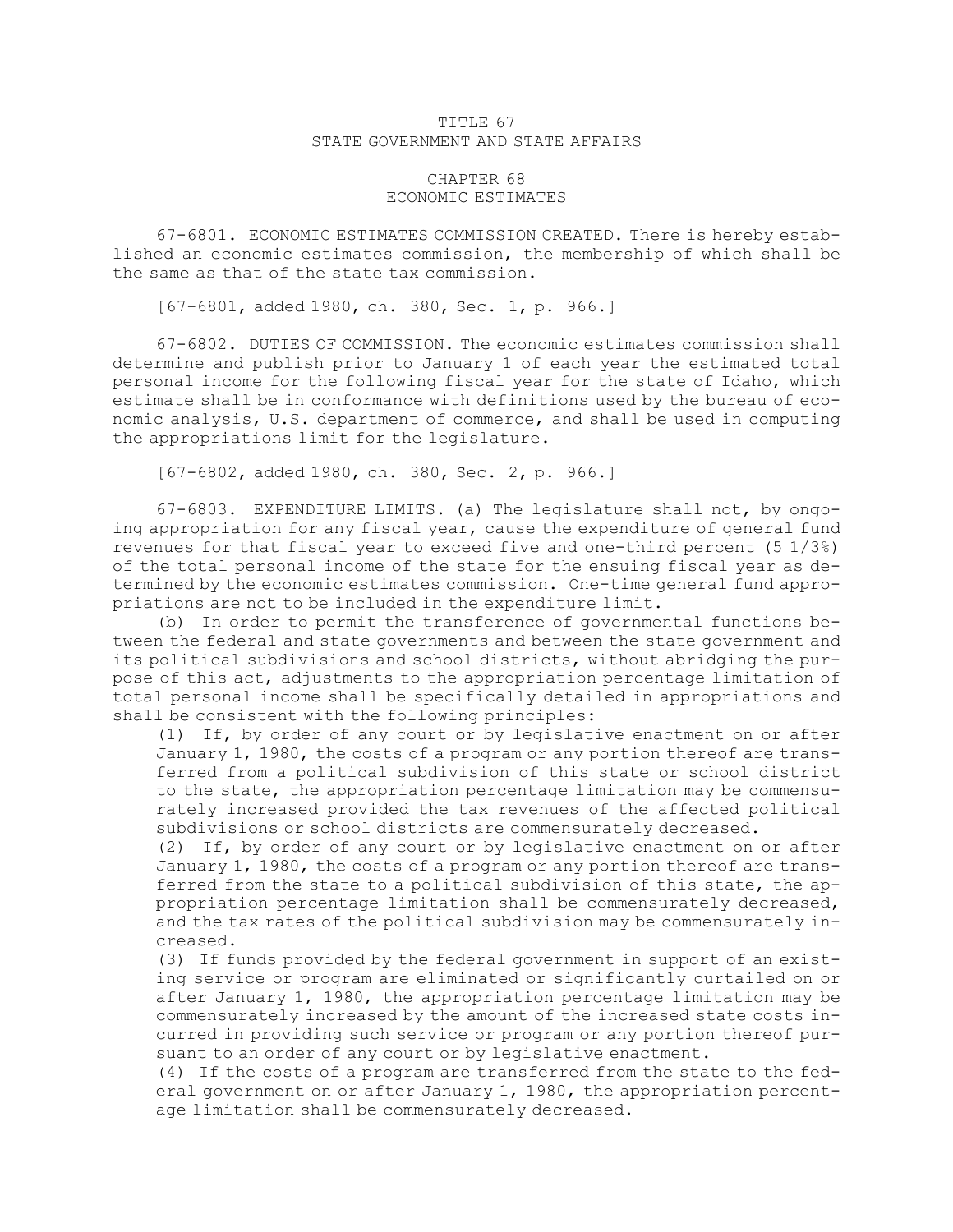## TITLE 67 STATE GOVERNMENT AND STATE AFFAIRS

## CHAPTER 68 ECONOMIC ESTIMATES

67-6801. ECONOMIC ESTIMATES COMMISSION CREATED. There is hereby established an economic estimates commission, the membership of which shall be the same as that of the state tax commission.

[67-6801, added 1980, ch. 380, Sec. 1, p. 966.]

67-6802. DUTIES OF COMMISSION. The economic estimates commission shall determine and publish prior to January 1 of each year the estimated total personal income for the following fiscal year for the state of Idaho, which estimate shall be in conformance with definitions used by the bureau of economic analysis, U.S. department of commerce, and shall be used in computing the appropriations limit for the legislature.

[67-6802, added 1980, ch. 380, Sec. 2, p. 966.]

67-6803. EXPENDITURE LIMITS. (a) The legislature shall not, by ongoing appropriation for any fiscal year, cause the expenditure of general fund revenues for that fiscal year to exceed five and one-third percent (5 1/3%) of the total personal income of the state for the ensuing fiscal year as determined by the economic estimates commission. One-time general fund appropriations are not to be included in the expenditure limit.

(b) In order to permit the transference of governmental functions between the federal and state governments and between the state government and its political subdivisions and school districts, without abridging the purpose of this act, adjustments to the appropriation percentage limitation of total personal income shall be specifically detailed in appropriations and shall be consistent with the following principles:

(1) If, by order of any court or by legislative enactment on or after January 1, 1980, the costs of <sup>a</sup> program or any portion thereof are transferred from <sup>a</sup> political subdivision of this state or school district to the state, the appropriation percentage limitation may be commensurately increased provided the tax revenues of the affected political subdivisions or school districts are commensurately decreased.

(2) If, by order of any court or by legislative enactment on or after January 1, 1980, the costs of <sup>a</sup> program or any portion thereof are transferred from the state to <sup>a</sup> political subdivision of this state, the appropriation percentage limitation shall be commensurately decreased, and the tax rates of the political subdivision may be commensurately increased.

(3) If funds provided by the federal government in support of an existing service or program are eliminated or significantly curtailed on or after January 1, 1980, the appropriation percentage limitation may be commensurately increased by the amount of the increased state costs incurred in providing such service or program or any portion thereof pursuant to an order of any court or by legislative enactment.

(4) If the costs of <sup>a</sup> program are transferred from the state to the federal government on or after January 1, 1980, the appropriation percentage limitation shall be commensurately decreased.